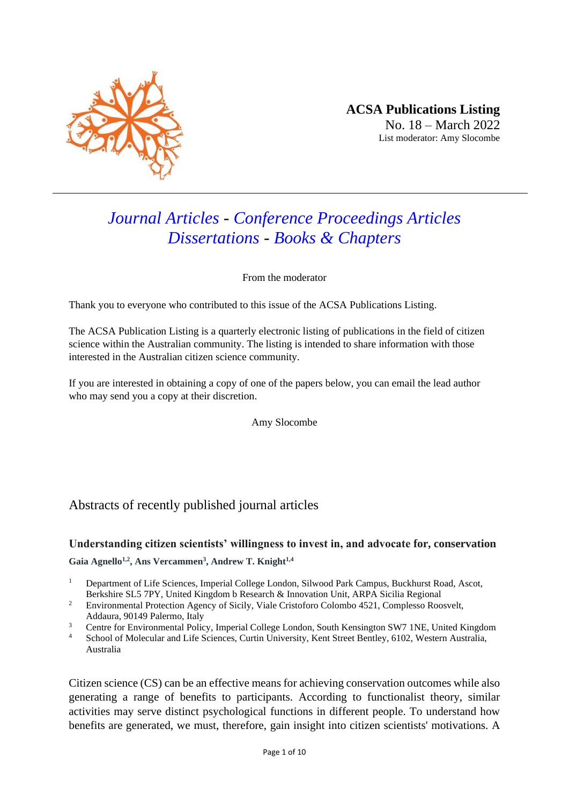

# *Journal Articles - Conference Proceedings Articles Dissertations - Books & Chapters*

From the moderator

Thank you to everyone who contributed to this issue of the ACSA Publications Listing.

The ACSA Publication Listing is a quarterly electronic listing of publications in the field of citizen science within the Australian community. The listing is intended to share information with those interested in the Australian citizen science community.

If you are interested in obtaining a copy of one of the papers below, you can email the lead author who may send you a copy at their discretion.

Amy Slocombe

# Abstracts of recently published journal articles

#### **Understanding citizen scientists' willingness to invest in, and advocate for, conservation**

**Gaia Agnello1,2 , Ans Vercammen<sup>3</sup> , Andrew T. Knight1,4**

- <sup>1</sup> Department of Life Sciences, Imperial College London, Silwood Park Campus, Buckhurst Road, Ascot, Berkshire SL5 7PY, United Kingdom b Research & Innovation Unit, ARPA Sicilia Regional
- <sup>2</sup> Environmental Protection Agency of Sicily, Viale Cristoforo Colombo 4521, Complesso Roosvelt, Addaura, 90149 Palermo, Italy
- <sup>3</sup> Centre for Environmental Policy, Imperial College London, South Kensington SW7 1NE, United Kingdom
- <sup>4</sup> School of Molecular and Life Sciences, Curtin University, Kent Street Bentley, 6102, Western Australia, Australia

Citizen science (CS) can be an effective means for achieving conservation outcomes while also generating a range of benefits to participants. According to functionalist theory, similar activities may serve distinct psychological functions in different people. To understand how benefits are generated, we must, therefore, gain insight into citizen scientists' motivations. A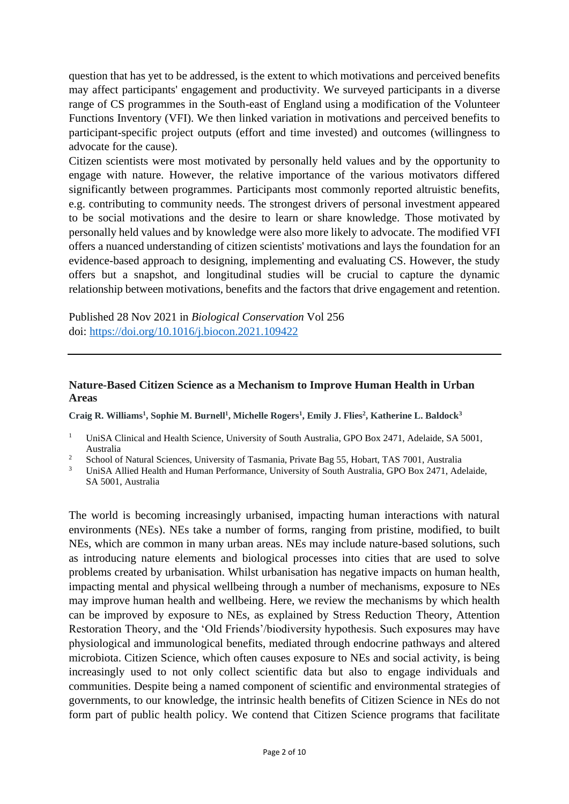question that has yet to be addressed, is the extent to which motivations and perceived benefits may affect participants' engagement and productivity. We surveyed participants in a diverse range of CS programmes in the South-east of England using a modification of the Volunteer Functions Inventory (VFI). We then linked variation in motivations and perceived benefits to participant-specific project outputs (effort and time invested) and outcomes (willingness to advocate for the cause).

Citizen scientists were most motivated by personally held values and by the opportunity to engage with nature. However, the relative importance of the various motivators differed significantly between programmes. Participants most commonly reported altruistic benefits, e.g. contributing to community needs. The strongest drivers of personal investment appeared to be social motivations and the desire to learn or share knowledge. Those motivated by personally held values and by knowledge were also more likely to advocate. The modified VFI offers a nuanced understanding of citizen scientists' motivations and lays the foundation for an evidence-based approach to designing, implementing and evaluating CS. However, the study offers but a snapshot, and longitudinal studies will be crucial to capture the dynamic relationship between motivations, benefits and the factors that drive engagement and retention.

Published 28 Nov 2021 in *Biological Conservation* Vol 256 doi:<https://doi.org/10.1016/j.biocon.2021.109422>

## **Nature-Based Citizen Science as a Mechanism to Improve Human Health in Urban Areas**

**Craig R. Williams<sup>1</sup> , Sophie M. Burnell<sup>1</sup> , Michelle Rogers<sup>1</sup> , Emily J. Flies<sup>2</sup> , Katherine L. Baldock<sup>3</sup>**

- <sup>1</sup> UniSA Clinical and Health Science, University of South Australia, GPO Box 2471, Adelaide, SA 5001, Australia
- <sup>2</sup> School of Natural Sciences, University of Tasmania, Private Bag 55, Hobart, TAS 7001, Australia
- <sup>3</sup> UniSA Allied Health and Human Performance, University of South Australia, GPO Box 2471, Adelaide, SA 5001, Australia

The world is becoming increasingly urbanised, impacting human interactions with natural environments (NEs). NEs take a number of forms, ranging from pristine, modified, to built NEs, which are common in many urban areas. NEs may include nature-based solutions, such as introducing nature elements and biological processes into cities that are used to solve problems created by urbanisation. Whilst urbanisation has negative impacts on human health, impacting mental and physical wellbeing through a number of mechanisms, exposure to NEs may improve human health and wellbeing. Here, we review the mechanisms by which health can be improved by exposure to NEs, as explained by Stress Reduction Theory, Attention Restoration Theory, and the 'Old Friends'/biodiversity hypothesis. Such exposures may have physiological and immunological benefits, mediated through endocrine pathways and altered microbiota. Citizen Science, which often causes exposure to NEs and social activity, is being increasingly used to not only collect scientific data but also to engage individuals and communities. Despite being a named component of scientific and environmental strategies of governments, to our knowledge, the intrinsic health benefits of Citizen Science in NEs do not form part of public health policy. We contend that Citizen Science programs that facilitate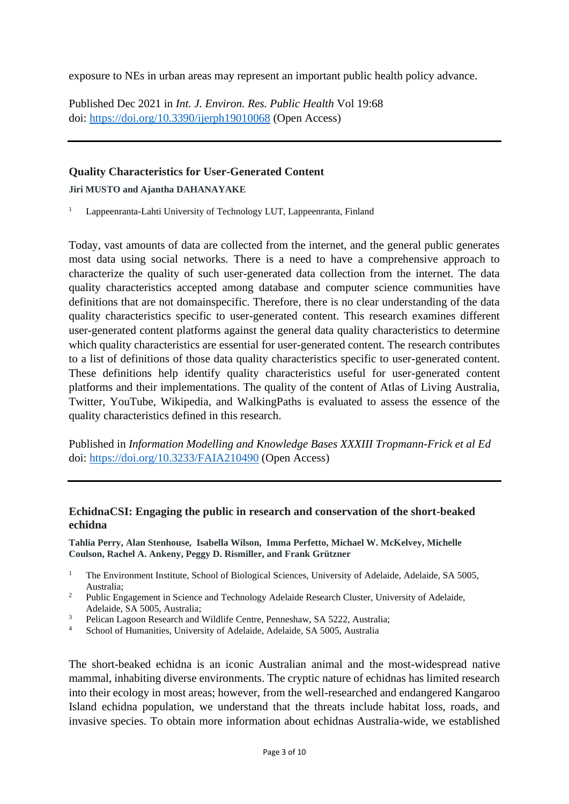exposure to NEs in urban areas may represent an important public health policy advance.

Published Dec 2021 in *Int. J. Environ. Res. Public Health* Vol 19:68 doi:<https://doi.org/10.3390/ijerph19010068> (Open Access)

# **Quality Characteristics for User-Generated Content**

#### **Jiri MUSTO and Ajantha DAHANAYAKE**

<sup>1</sup> Lappeenranta-Lahti University of Technology LUT, Lappeenranta, Finland

Today, vast amounts of data are collected from the internet, and the general public generates most data using social networks. There is a need to have a comprehensive approach to characterize the quality of such user-generated data collection from the internet. The data quality characteristics accepted among database and computer science communities have definitions that are not domainspecific. Therefore, there is no clear understanding of the data quality characteristics specific to user-generated content. This research examines different user-generated content platforms against the general data quality characteristics to determine which quality characteristics are essential for user-generated content. The research contributes to a list of definitions of those data quality characteristics specific to user-generated content. These definitions help identify quality characteristics useful for user-generated content platforms and their implementations. The quality of the content of Atlas of Living Australia, Twitter, YouTube, Wikipedia, and WalkingPaths is evaluated to assess the essence of the quality characteristics defined in this research.

Published in *Information Modelling and Knowledge Bases XXXIII Tropmann-Frick et al Ed* doi:<https://doi.org/10.3233/FAIA210490> (Open Access)

#### **EchidnaCSI: Engaging the public in research and conservation of the short-beaked echidna**

**Tahlia Perry, Alan Stenhouse, Isabella Wilson, Imma Perfetto, Michael W. McKelvey, Michelle Coulson, Rachel A. Ankeny, Peggy D. Rismiller, and Frank Grützner**

- <sup>1</sup> The Environment Institute, School of Biological Sciences, University of Adelaide, Adelaide, SA 5005, Australia;
- <sup>2</sup> Public Engagement in Science and Technology Adelaide Research Cluster, University of Adelaide, Adelaide, SA 5005, Australia;
- <sup>3</sup> Pelican Lagoon Research and Wildlife Centre, Penneshaw, SA 5222, Australia;<br><sup>4</sup> Sebesi of Universities, University of Adelaide, Adelaide, SA 5005, Australia;
- School of Humanities, University of Adelaide, Adelaide, SA 5005, Australia

The short-beaked echidna is an iconic Australian animal and the most-widespread native mammal, inhabiting diverse environments. The cryptic nature of echidnas has limited research into their ecology in most areas; however, from the well-researched and endangered Kangaroo Island echidna population, we understand that the threats include habitat loss, roads, and invasive species. To obtain more information about echidnas Australia-wide, we established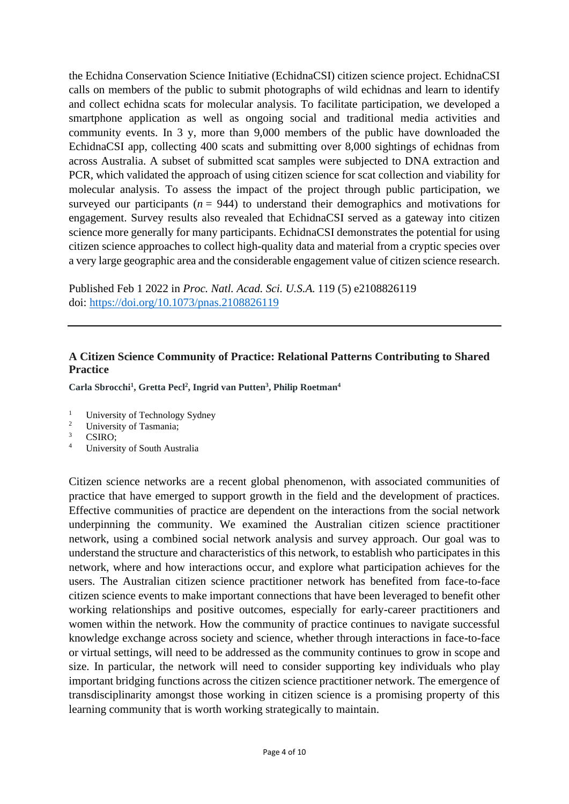the Echidna Conservation Science Initiative (EchidnaCSI) citizen science project. EchidnaCSI calls on members of the public to submit photographs of wild echidnas and learn to identify and collect echidna scats for molecular analysis. To facilitate participation, we developed a smartphone application as well as ongoing social and traditional media activities and community events. In 3 y, more than 9,000 members of the public have downloaded the EchidnaCSI app, collecting 400 scats and submitting over 8,000 sightings of echidnas from across Australia. A subset of submitted scat samples were subjected to DNA extraction and PCR, which validated the approach of using citizen science for scat collection and viability for molecular analysis. To assess the impact of the project through public participation, we surveyed our participants ( $n = 944$ ) to understand their demographics and motivations for engagement. Survey results also revealed that EchidnaCSI served as a gateway into citizen science more generally for many participants. EchidnaCSI demonstrates the potential for using citizen science approaches to collect high-quality data and material from a cryptic species over a very large geographic area and the considerable engagement value of citizen science research.

Published Feb 1 2022 in *Proc. Natl. Acad. Sci. U.S.A.* 119 (5) e2108826119 doi:<https://doi.org/10.1073/pnas.2108826119>

# **A Citizen Science Community of Practice: Relational Patterns Contributing to Shared Practice**

**Carla Sbrocchi<sup>1</sup> , Gretta Pecl<sup>2</sup> , Ingrid van Putten<sup>3</sup> , Philip Roetman<sup>4</sup>**

- <sup>1</sup> University of Technology Sydney
- <sup>2</sup> University of Tasmania;<br> $\frac{3}{2}$  CSIDO:
- $rac{3}{4}$  CSIRO;
- <sup>4</sup> University of South Australia

Citizen science networks are a recent global phenomenon, with associated communities of practice that have emerged to support growth in the field and the development of practices. Effective communities of practice are dependent on the interactions from the social network underpinning the community. We examined the Australian citizen science practitioner network, using a combined social network analysis and survey approach. Our goal was to understand the structure and characteristics of this network, to establish who participates in this network, where and how interactions occur, and explore what participation achieves for the users. The Australian citizen science practitioner network has benefited from face-to-face citizen science events to make important connections that have been leveraged to benefit other working relationships and positive outcomes, especially for early-career practitioners and women within the network. How the community of practice continues to navigate successful knowledge exchange across society and science, whether through interactions in face-to-face or virtual settings, will need to be addressed as the community continues to grow in scope and size. In particular, the network will need to consider supporting key individuals who play important bridging functions across the citizen science practitioner network. The emergence of transdisciplinarity amongst those working in citizen science is a promising property of this learning community that is worth working strategically to maintain.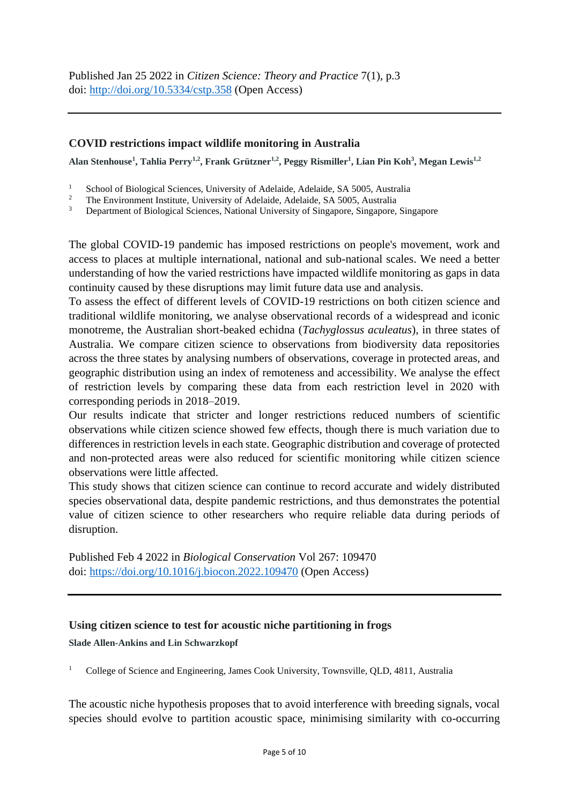# **COVID restrictions impact wildlife monitoring in Australia**

Alan Stenhouse<sup>1</sup>, Tahlia Perry<sup>1,2</sup>, Frank Grützner<sup>1,2</sup>, Peggy Rismiller<sup>1</sup>, Lian Pin Koh<sup>3</sup>, Megan Lewis<sup>1,2</sup>

<sup>1</sup> School of Biological Sciences, University of Adelaide, Adelaide, SA 5005, Australia<sup>2</sup>

<sup>2</sup> The Environment Institute, University of Adelaide, Adelaide, SA 5005, Australia<sup>3</sup>

<sup>3</sup> Department of Biological Sciences, National University of Singapore, Singapore, Singapore

The global COVID-19 pandemic has imposed restrictions on people's movement, work and access to places at multiple international, national and sub-national scales. We need a better understanding of how the varied restrictions have impacted wildlife monitoring as gaps in data continuity caused by these disruptions may limit future data use and analysis.

To assess the effect of different levels of COVID-19 restrictions on both citizen science and traditional wildlife monitoring, we analyse observational records of a widespread and iconic monotreme, the Australian short-beaked echidna (*Tachyglossus aculeatus*), in three states of Australia. We compare citizen science to observations from biodiversity data repositories across the three states by analysing numbers of observations, coverage in protected areas, and geographic distribution using an index of remoteness and accessibility. We analyse the effect of restriction levels by comparing these data from each restriction level in 2020 with corresponding periods in 2018–2019.

Our results indicate that stricter and longer restrictions reduced numbers of scientific observations while citizen science showed few effects, though there is much variation due to differences in restriction levels in each state. Geographic distribution and coverage of protected and non-protected areas were also reduced for scientific monitoring while citizen science observations were little affected.

This study shows that citizen science can continue to record accurate and widely distributed species observational data, despite pandemic restrictions, and thus demonstrates the potential value of citizen science to other researchers who require reliable data during periods of disruption.

Published Feb 4 2022 in *Biological Conservation* Vol 267: 109470 doi:<https://doi.org/10.1016/j.biocon.2022.109470> (Open Access)

#### **Using citizen science to test for acoustic niche partitioning in frogs**

**Slade Allen-Ankins and Lin Schwarzkopf**

<sup>1</sup> College of Science and Engineering, James Cook University, Townsville, QLD, 4811, Australia

The acoustic niche hypothesis proposes that to avoid interference with breeding signals, vocal species should evolve to partition acoustic space, minimising similarity with co-occurring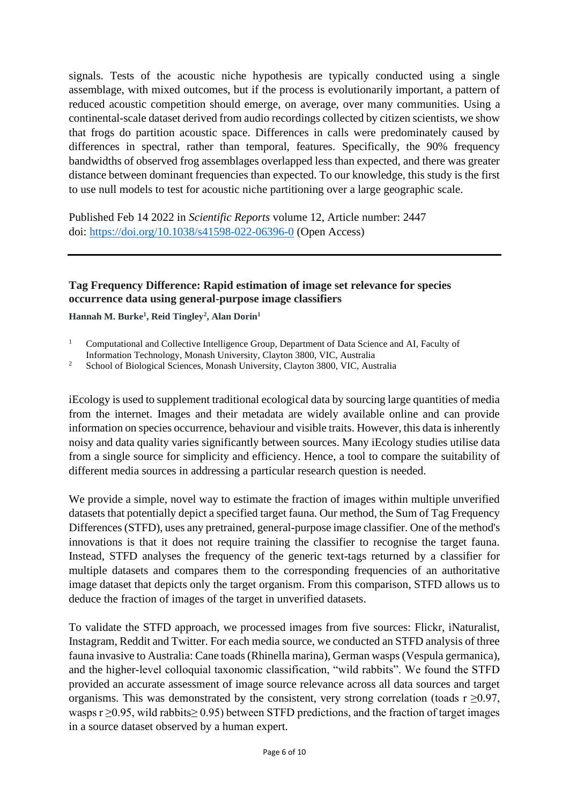signals. Tests of the acoustic niche hypothesis are typically conducted using a single assemblage, with mixed outcomes, but if the process is evolutionarily important, a pattern of reduced acoustic competition should emerge, on average, over many communities. Using a continental-scale dataset derived from audio recordings collected by citizen scientists, we show that frogs do partition acoustic space. Differences in calls were predominately caused by differences in spectral, rather than temporal, features. Specifically, the 90% frequency bandwidths of observed frog assemblages overlapped less than expected, and there was greater distance between dominant frequencies than expected. To our knowledge, this study is the first to use null models to test for acoustic niche partitioning over a large geographic scale.

Published Feb 14 2022 in *Scientific Reports* volume 12, Article number: 2447 doi:<https://doi.org/10.1038/s41598-022-06396-0> (Open Access)

## **Tag Frequency Difference: Rapid estimation of image set relevance for species occurrence data using general-purpose image classifiers**

**Hannah M. Burke<sup>1</sup> , Reid Tingley<sup>2</sup> , Alan Dorin<sup>1</sup>**

<sup>2</sup> School of Biological Sciences, Monash University, Clayton 3800, VIC, Australia

iEcology is used to supplement traditional ecological data by sourcing large quantities of media from the internet. Images and their metadata are widely available online and can provide information on species occurrence, behaviour and visible traits. However, this data is inherently noisy and data quality varies significantly between sources. Many iEcology studies utilise data from a single source for simplicity and efficiency. Hence, a tool to compare the suitability of different media sources in addressing a particular research question is needed.

We provide a simple, novel way to estimate the fraction of images within multiple unverified datasets that potentially depict a specified target fauna. Our method, the Sum of Tag Frequency Differences (STFD), uses any pretrained, general-purpose image classifier. One of the method's innovations is that it does not require training the classifier to recognise the target fauna. Instead, STFD analyses the frequency of the generic text-tags returned by a classifier for multiple datasets and compares them to the corresponding frequencies of an authoritative image dataset that depicts only the target organism. From this comparison, STFD allows us to deduce the fraction of images of the target in unverified datasets.

To validate the STFD approach, we processed images from five sources: Flickr, iNaturalist, Instagram, Reddit and Twitter. For each media source, we conducted an STFD analysis of three fauna invasive to Australia: Cane toads (Rhinella marina), German wasps (Vespula germanica), and the higher-level colloquial taxonomic classification, "wild rabbits". We found the STFD provided an accurate assessment of image source relevance across all data sources and target organisms. This was demonstrated by the consistent, very strong correlation (toads  $r \ge 0.97$ , wasps r ≥0.95, wild rabbits≥ 0.95) between STFD predictions, and the fraction of target images in a source dataset observed by a human expert.

<sup>&</sup>lt;sup>1</sup> Computational and Collective Intelligence Group, Department of Data Science and AI, Faculty of Information Technology, Monash University, Clayton 3800, VIC, Australia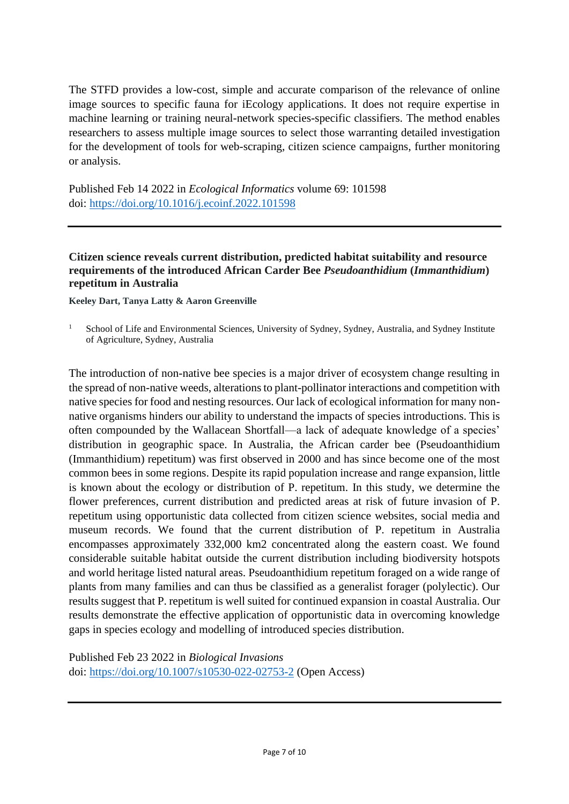The STFD provides a low-cost, simple and accurate comparison of the relevance of online image sources to specific fauna for iEcology applications. It does not require expertise in machine learning or training neural-network species-specific classifiers. The method enables researchers to assess multiple image sources to select those warranting detailed investigation for the development of tools for web-scraping, citizen science campaigns, further monitoring or analysis.

Published Feb 14 2022 in *Ecological Informatics* volume 69: 101598 doi:<https://doi.org/10.1016/j.ecoinf.2022.101598>

# **Citizen science reveals current distribution, predicted habitat suitability and resource requirements of the introduced African Carder Bee** *Pseudoanthidium* **(***Immanthidium***) repetitum in Australia**

**Keeley Dart, Tanya Latty & Aaron Greenville**

<sup>1</sup> School of Life and Environmental Sciences, University of Sydney, Sydney, Australia, and Sydney Institute of Agriculture, Sydney, Australia

The introduction of non-native bee species is a major driver of ecosystem change resulting in the spread of non-native weeds, alterations to plant-pollinator interactions and competition with native species for food and nesting resources. Our lack of ecological information for many nonnative organisms hinders our ability to understand the impacts of species introductions. This is often compounded by the Wallacean Shortfall—a lack of adequate knowledge of a species' distribution in geographic space. In Australia, the African carder bee (Pseudoanthidium (Immanthidium) repetitum) was first observed in 2000 and has since become one of the most common bees in some regions. Despite its rapid population increase and range expansion, little is known about the ecology or distribution of P. repetitum. In this study, we determine the flower preferences, current distribution and predicted areas at risk of future invasion of P. repetitum using opportunistic data collected from citizen science websites, social media and museum records. We found that the current distribution of P. repetitum in Australia encompasses approximately 332,000 km2 concentrated along the eastern coast. We found considerable suitable habitat outside the current distribution including biodiversity hotspots and world heritage listed natural areas. Pseudoanthidium repetitum foraged on a wide range of plants from many families and can thus be classified as a generalist forager (polylectic). Our results suggest that P. repetitum is well suited for continued expansion in coastal Australia. Our results demonstrate the effective application of opportunistic data in overcoming knowledge gaps in species ecology and modelling of introduced species distribution.

Published Feb 23 2022 in *Biological Invasions* doi:<https://doi.org/10.1007/s10530-022-02753-2> (Open Access)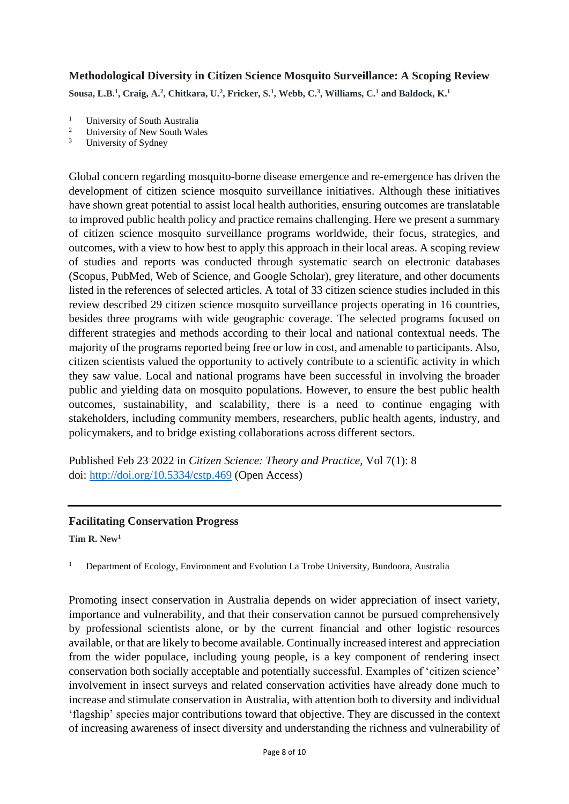# **Methodological Diversity in Citizen Science Mosquito Surveillance: A Scoping Review**

**Sousa, L.B.<sup>1</sup> , Craig, A.<sup>2</sup> , Chitkara, U.<sup>2</sup> , Fricker, S.<sup>1</sup> , Webb, C.<sup>3</sup> , Williams, C.<sup>1</sup> and Baldock, K.<sup>1</sup>**

- <sup>1</sup> University of South Australia<br><sup>2</sup> University of New South Wel
- <sup>2</sup> University of New South Wales<br> $\frac{3}{2}$  University of Sydney
- University of Sydney

Global concern regarding mosquito-borne disease emergence and re-emergence has driven the development of citizen science mosquito surveillance initiatives. Although these initiatives have shown great potential to assist local health authorities, ensuring outcomes are translatable to improved public health policy and practice remains challenging. Here we present a summary of citizen science mosquito surveillance programs worldwide, their focus, strategies, and outcomes, with a view to how best to apply this approach in their local areas. A scoping review of studies and reports was conducted through systematic search on electronic databases (Scopus, PubMed, Web of Science, and Google Scholar), grey literature, and other documents listed in the references of selected articles. A total of 33 citizen science studies included in this review described 29 citizen science mosquito surveillance projects operating in 16 countries, besides three programs with wide geographic coverage. The selected programs focused on different strategies and methods according to their local and national contextual needs. The majority of the programs reported being free or low in cost, and amenable to participants. Also, citizen scientists valued the opportunity to actively contribute to a scientific activity in which they saw value. Local and national programs have been successful in involving the broader public and yielding data on mosquito populations. However, to ensure the best public health outcomes, sustainability, and scalability, there is a need to continue engaging with stakeholders, including community members, researchers, public health agents, industry, and policymakers, and to bridge existing collaborations across different sectors.

Published Feb 23 2022 in *Citizen Science: Theory and Practice,* Vol 7(1): 8 doi:<http://doi.org/10.5334/cstp.469> (Open Access)

#### **Facilitating Conservation Progress**

**Tim R. New<sup>1</sup>**

<sup>1</sup> Department of Ecology, Environment and Evolution La Trobe University, Bundoora, Australia

Promoting insect conservation in Australia depends on wider appreciation of insect variety, importance and vulnerability, and that their conservation cannot be pursued comprehensively by professional scientists alone, or by the current financial and other logistic resources available, or that are likely to become available. Continually increased interest and appreciation from the wider populace, including young people, is a key component of rendering insect conservation both socially acceptable and potentially successful. Examples of 'citizen science' involvement in insect surveys and related conservation activities have already done much to increase and stimulate conservation in Australia, with attention both to diversity and individual 'flagship' species major contributions toward that objective. They are discussed in the context of increasing awareness of insect diversity and understanding the richness and vulnerability of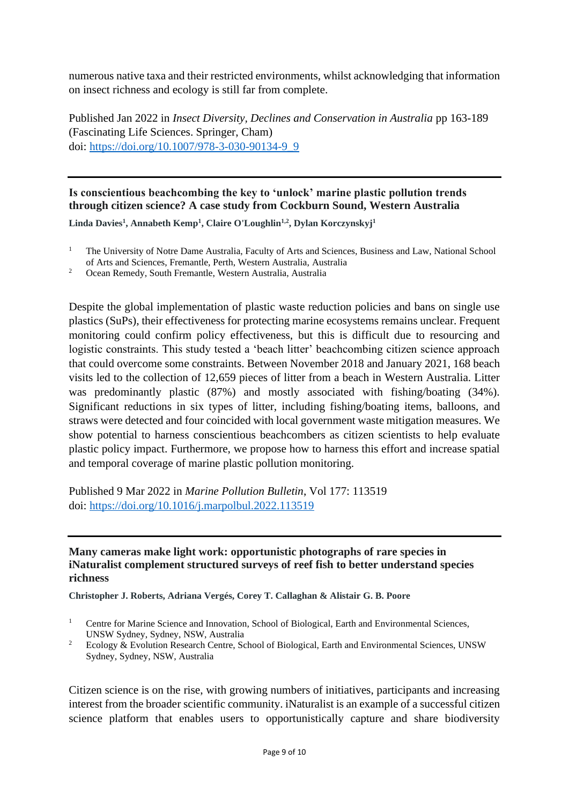numerous native taxa and their restricted environments, whilst acknowledging that information on insect richness and ecology is still far from complete.

Published Jan 2022 in *Insect Diversity, Declines and Conservation in Australia* pp 163-189 (Fascinating Life Sciences. Springer, Cham) doi: [https://doi.org/10.1007/978-3-030-90134-9\\_9](https://doi.org/10.1007/978-3-030-90134-9_9)

**Is conscientious beachcombing the key to 'unlock' marine plastic pollution trends through citizen science? A case study from Cockburn Sound, Western Australia**

**Linda Davies<sup>1</sup> , Annabeth Kemp<sup>1</sup> , Claire O'Loughlin1,2, Dylan Korczynskyj<sup>1</sup>**

<sup>2</sup> Ocean Remedy, South Fremantle, Western Australia, Australia

Despite the global implementation of plastic waste reduction policies and bans on single use plastics (SuPs), their effectiveness for protecting marine ecosystems remains unclear. Frequent monitoring could confirm policy effectiveness, but this is difficult due to resourcing and logistic constraints. This study tested a 'beach litter' beachcombing citizen science approach that could overcome some constraints. Between November 2018 and January 2021, 168 beach visits led to the collection of 12,659 pieces of litter from a beach in Western Australia. Litter was predominantly plastic (87%) and mostly associated with fishing/boating (34%). Significant reductions in six types of litter, including fishing/boating items, balloons, and straws were detected and four coincided with local government waste mitigation measures. We show potential to harness conscientious beachcombers as citizen scientists to help evaluate plastic policy impact. Furthermore, we propose how to harness this effort and increase spatial and temporal coverage of marine plastic pollution monitoring.

Published 9 Mar 2022 in *Marine Pollution Bulletin*, Vol 177: 113519 doi:<https://doi.org/10.1016/j.marpolbul.2022.113519>

#### **Many cameras make light work: opportunistic photographs of rare species in iNaturalist complement structured surveys of reef fish to better understand species richness**

**Christopher J. Roberts, Adriana Vergés, Corey T. Callaghan & Alistair G. B. Poore**

Citizen science is on the rise, with growing numbers of initiatives, participants and increasing interest from the broader scientific community. iNaturalist is an example of a successful citizen science platform that enables users to opportunistically capture and share biodiversity

<sup>&</sup>lt;sup>1</sup> The University of Notre Dame Australia, Faculty of Arts and Sciences, Business and Law, National School of Arts and Sciences, Fremantle, Perth, Western Australia, Australia

<sup>&</sup>lt;sup>1</sup> Centre for Marine Science and Innovation, School of Biological, Earth and Environmental Sciences, UNSW Sydney, Sydney, NSW, Australia

<sup>&</sup>lt;sup>2</sup> Ecology & Evolution Research Centre, School of Biological, Earth and Environmental Sciences, UNSW Sydney, Sydney, NSW, Australia